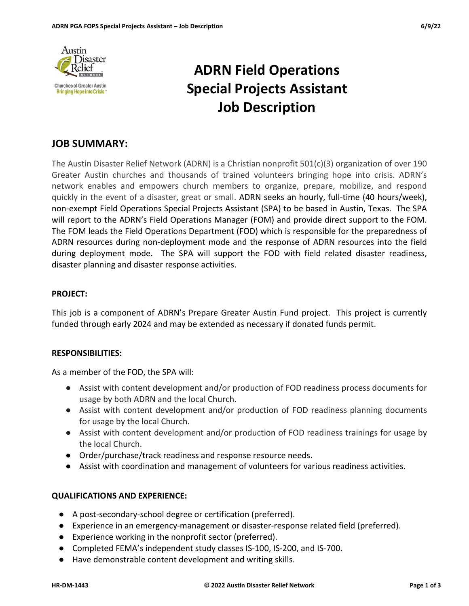

# ADRN Field Operations Special Projects Assistant Job Description

# JOB SUMMARY:

The Austin Disaster Relief Network (ADRN) is a Christian nonprofit 501(c)(3) organization of over 190 Greater Austin churches and thousands of trained volunteers bringing hope into crisis. ADRN's network enables and empowers church members to organize, prepare, mobilize, and respond quickly in the event of a disaster, great or small. ADRN seeks an hourly, full-time (40 hours/week), non-exempt Field Operations Special Projects Assistant (SPA) to be based in Austin, Texas. The SPA will report to the ADRN's Field Operations Manager (FOM) and provide direct support to the FOM. The FOM leads the Field Operations Department (FOD) which is responsible for the preparedness of ADRN resources during non-deployment mode and the response of ADRN resources into the field during deployment mode. The SPA will support the FOD with field related disaster readiness, disaster planning and disaster response activities.

#### PROJECT:

This job is a component of ADRN's Prepare Greater Austin Fund project. This project is currently funded through early 2024 and may be extended as necessary if donated funds permit.

#### RESPONSIBILITIES:

As a member of the FOD, the SPA will:

- Assist with content development and/or production of FOD readiness process documents for usage by both ADRN and the local Church.
- Assist with content development and/or production of FOD readiness planning documents for usage by the local Church.
- Assist with content development and/or production of FOD readiness trainings for usage by the local Church.
- Order/purchase/track readiness and response resource needs.
- Assist with coordination and management of volunteers for various readiness activities.

#### QUALIFICATIONS AND EXPERIENCE:

- A post-secondary-school degree or certification (preferred).
- Experience in an emergency-management or disaster-response related field (preferred).
- Experience working in the nonprofit sector (preferred).
- Completed FEMA's independent study classes IS-100, IS-200, and IS-700.
- Have demonstrable content development and writing skills.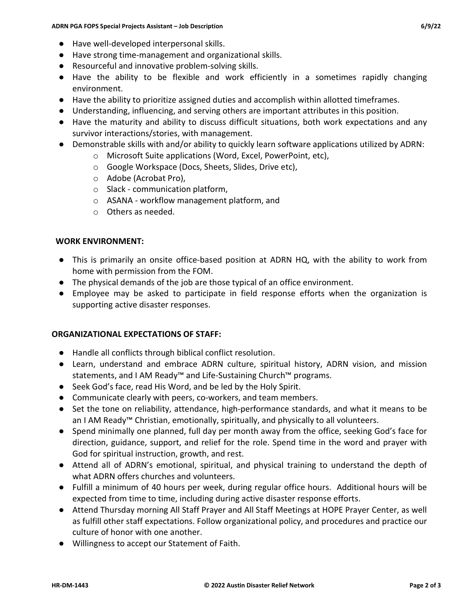- Have well-developed interpersonal skills.
- Have strong time-management and organizational skills.
- Resourceful and innovative problem-solving skills.
- Have the ability to be flexible and work efficiently in a sometimes rapidly changing environment.
- Have the ability to prioritize assigned duties and accomplish within allotted timeframes.
- Understanding, influencing, and serving others are important attributes in this position.
- Have the maturity and ability to discuss difficult situations, both work expectations and any survivor interactions/stories, with management.
- Demonstrable skills with and/or ability to quickly learn software applications utilized by ADRN:
	- o Microsoft Suite applications (Word, Excel, PowerPoint, etc),
	- o Google Workspace (Docs, Sheets, Slides, Drive etc),
	- o Adobe (Acrobat Pro),
	- o Slack communication platform,
	- o ASANA workflow management platform, and
	- o Others as needed.

#### WORK ENVIRONMENT:

- This is primarily an onsite office-based position at ADRN HQ, with the ability to work from home with permission from the FOM.
- The physical demands of the job are those typical of an office environment.
- Employee may be asked to participate in field response efforts when the organization is supporting active disaster responses.

#### ORGANIZATIONAL EXPECTATIONS OF STAFF:

- Handle all conflicts through biblical conflict resolution.
- Learn, understand and embrace ADRN culture, spiritual history, ADRN vision, and mission statements, and I AM Ready™ and Life-Sustaining Church™ programs.
- Seek God's face, read His Word, and be led by the Holy Spirit.
- Communicate clearly with peers, co-workers, and team members.
- Set the tone on reliability, attendance, high-performance standards, and what it means to be an I AM Ready™ Christian, emotionally, spiritually, and physically to all volunteers.
- Spend minimally one planned, full day per month away from the office, seeking God's face for direction, guidance, support, and relief for the role. Spend time in the word and prayer with God for spiritual instruction, growth, and rest.
- Attend all of ADRN's emotional, spiritual, and physical training to understand the depth of what ADRN offers churches and volunteers.
- Fulfill a minimum of 40 hours per week, during regular office hours. Additional hours will be expected from time to time, including during active disaster response efforts.
- Attend Thursday morning All Staff Prayer and All Staff Meetings at HOPE Prayer Center, as well as fulfill other staff expectations. Follow organizational policy, and procedures and practice our culture of honor with one another.
- Willingness to accept our Statement of Faith.